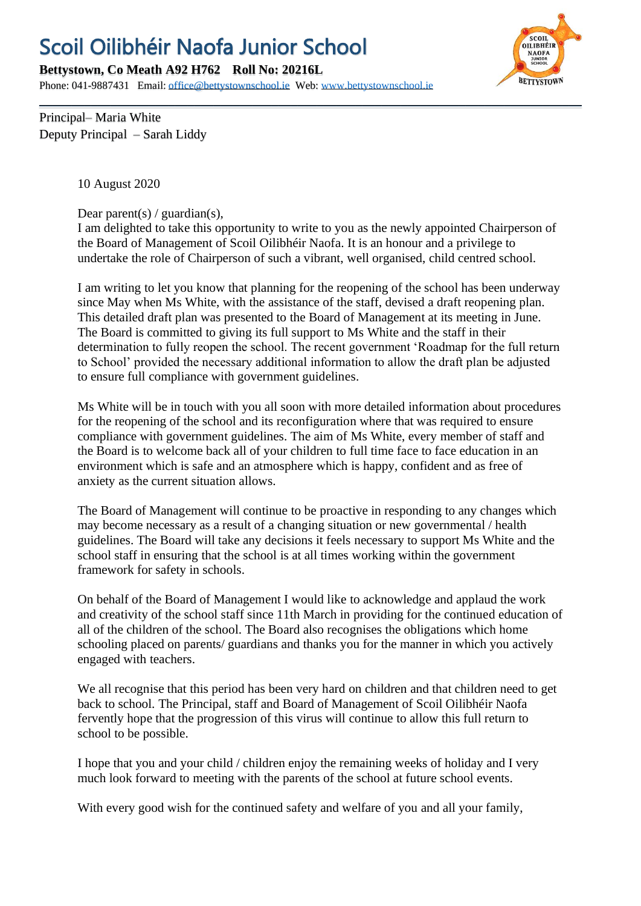## Scoil Oilibhéir Naofa Junior School

**Bettystown, Co Meath A92 H762 Roll No: 20216L**

Phone: 041-9887431 Email: [office@bettystownschool.ie](mailto:office@bettystownschool.ie) Web: [www.bettystownschool.ie](http://www.bettystownschool.ie/)



Principal– Maria White Deputy Principal – Sarah Liddy

10 August 2020

Dear parent(s) / guardian(s),

I am delighted to take this opportunity to write to you as the newly appointed Chairperson of the Board of Management of Scoil Oilibhéir Naofa. It is an honour and a privilege to undertake the role of Chairperson of such a vibrant, well organised, child centred school.

I am writing to let you know that planning for the reopening of the school has been underway since May when Ms White, with the assistance of the staff, devised a draft reopening plan. This detailed draft plan was presented to the Board of Management at its meeting in June. The Board is committed to giving its full support to Ms White and the staff in their determination to fully reopen the school. The recent government 'Roadmap for the full return to School' provided the necessary additional information to allow the draft plan be adjusted to ensure full compliance with government guidelines.

Ms White will be in touch with you all soon with more detailed information about procedures for the reopening of the school and its reconfiguration where that was required to ensure compliance with government guidelines. The aim of Ms White, every member of staff and the Board is to welcome back all of your children to full time face to face education in an environment which is safe and an atmosphere which is happy, confident and as free of anxiety as the current situation allows.

The Board of Management will continue to be proactive in responding to any changes which may become necessary as a result of a changing situation or new governmental / health guidelines. The Board will take any decisions it feels necessary to support Ms White and the school staff in ensuring that the school is at all times working within the government framework for safety in schools.

On behalf of the Board of Management I would like to acknowledge and applaud the work and creativity of the school staff since 11th March in providing for the continued education of all of the children of the school. The Board also recognises the obligations which home schooling placed on parents/ guardians and thanks you for the manner in which you actively engaged with teachers.

We all recognise that this period has been very hard on children and that children need to get back to school. The Principal, staff and Board of Management of Scoil Oilibhéir Naofa fervently hope that the progression of this virus will continue to allow this full return to school to be possible.

I hope that you and your child / children enjoy the remaining weeks of holiday and I very much look forward to meeting with the parents of the school at future school events.

With every good wish for the continued safety and welfare of you and all your family,